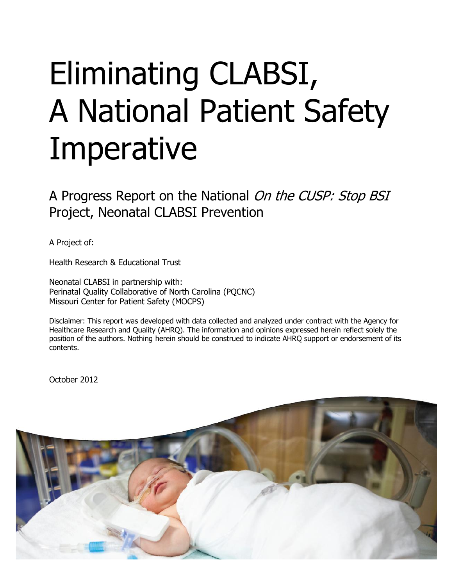# Eliminating CLABSI, A National Patient Safety **Imperative**

A Progress Report on the National On the CUSP: Stop BSI Project, Neonatal CLABSI Prevention

A Project of:

Health Research & Educational Trust

Neonatal CLABSI in partnership with: Perinatal Quality Collaborative of North Carolina (PQCNC) Missouri Center for Patient Safety (MOCPS)

Disclaimer: This report was developed with data collected and analyzed under contract with the Agency for Healthcare Research and Quality (AHRQ). The information and opinions expressed herein reflect solely the position of the authors. Nothing herein should be construed to indicate AHRQ support or endorsement of its contents.

October 2012

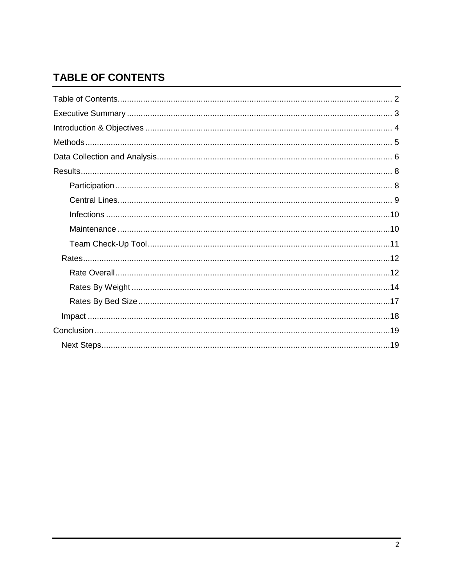# <span id="page-1-0"></span>**TABLE OF CONTENTS**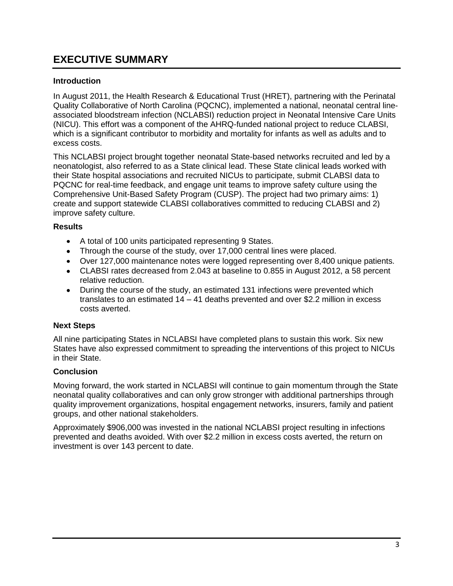# <span id="page-2-0"></span>**EXECUTIVE SUMMARY**

#### **Introduction**

In August 2011, the Health Research & Educational Trust (HRET), partnering with the Perinatal Quality Collaborative of North Carolina (PQCNC), implemented a national, neonatal central lineassociated bloodstream infection (NCLABSI) reduction project in Neonatal Intensive Care Units (NICU). This effort was a component of the AHRQ-funded national project to reduce CLABSI, which is a significant contributor to morbidity and mortality for infants as well as adults and to excess costs.

This NCLABSI project brought together neonatal State-based networks recruited and led by a neonatologist, also referred to as a State clinical lead. These State clinical leads worked with their State hospital associations and recruited NICUs to participate, submit CLABSI data to PQCNC for real-time feedback, and engage unit teams to improve safety culture using the Comprehensive Unit-Based Safety Program (CUSP). The project had two primary aims: 1) create and support statewide CLABSI collaboratives committed to reducing CLABSI and 2) improve safety culture.

#### **Results**

- A total of 100 units participated representing 9 States.
- Through the course of the study, over 17,000 central lines were placed.
- Over 127,000 maintenance notes were logged representing over 8,400 unique patients.
- CLABSI rates decreased from 2.043 at baseline to 0.855 in August 2012, a 58 percent relative reduction.
- During the course of the study, an estimated 131 infections were prevented which translates to an estimated 14 – 41 deaths prevented and over \$2.2 million in excess costs averted.

#### **Next Steps**

All nine participating States in NCLABSI have completed plans to sustain this work. Six new States have also expressed commitment to spreading the interventions of this project to NICUs in their State.

#### **Conclusion**

Moving forward, the work started in NCLABSI will continue to gain momentum through the State neonatal quality collaboratives and can only grow stronger with additional partnerships through quality improvement organizations, hospital engagement networks, insurers, family and patient groups, and other national stakeholders.

Approximately \$906,000 was invested in the national NCLABSI project resulting in infections prevented and deaths avoided. With over \$2.2 million in excess costs averted, the return on investment is over 143 percent to date.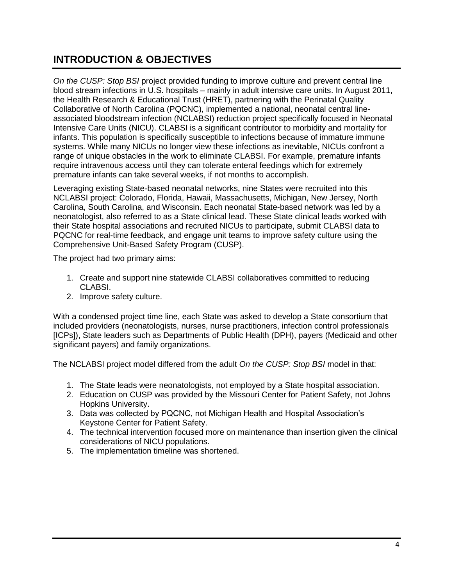# <span id="page-3-0"></span>**INTRODUCTION & OBJECTIVES**

*On the CUSP: Stop BSI* project provided funding to improve culture and prevent central line blood stream infections in U.S. hospitals – mainly in adult intensive care units. In August 2011, the Health Research & Educational Trust (HRET), partnering with the Perinatal Quality Collaborative of North Carolina (PQCNC), implemented a national, neonatal central lineassociated bloodstream infection (NCLABSI) reduction project specifically focused in Neonatal Intensive Care Units (NICU). CLABSI is a significant contributor to morbidity and mortality for infants. This population is specifically susceptible to infections because of immature immune systems. While many NICUs no longer view these infections as inevitable, NICUs confront a range of unique obstacles in the work to eliminate CLABSI. For example, premature infants require intravenous access until they can tolerate enteral feedings which for extremely premature infants can take several weeks, if not months to accomplish.

Leveraging existing State-based neonatal networks, nine States were recruited into this NCLABSI project: Colorado, Florida, Hawaii, Massachusetts, Michigan, New Jersey, North Carolina, South Carolina, and Wisconsin. Each neonatal State-based network was led by a neonatologist, also referred to as a State clinical lead. These State clinical leads worked with their State hospital associations and recruited NICUs to participate, submit CLABSI data to PQCNC for real-time feedback, and engage unit teams to improve safety culture using the Comprehensive Unit-Based Safety Program (CUSP).

The project had two primary aims:

- 1. Create and support nine statewide CLABSI collaboratives committed to reducing CLABSI.
- 2. Improve safety culture.

With a condensed project time line, each State was asked to develop a State consortium that included providers (neonatologists, nurses, nurse practitioners, infection control professionals [ICPs]), State leaders such as Departments of Public Health (DPH), payers (Medicaid and other significant payers) and family organizations.

The NCLABSI project model differed from the adult *On the CUSP: Stop BSI* model in that:

- 1. The State leads were neonatologists, not employed by a State hospital association.
- 2. Education on CUSP was provided by the Missouri Center for Patient Safety, not Johns Hopkins University.
- 3. Data was collected by PQCNC, not Michigan Health and Hospital Association's Keystone Center for Patient Safety.
- 4. The technical intervention focused more on maintenance than insertion given the clinical considerations of NICU populations.
- 5. The implementation timeline was shortened.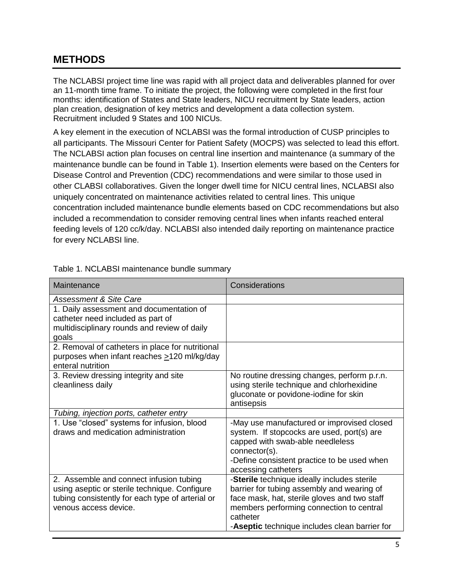# <span id="page-4-0"></span>**METHODS**

The NCLABSI project time line was rapid with all project data and deliverables planned for over an 11-month time frame. To initiate the project, the following were completed in the first four months: identification of States and State leaders, NICU recruitment by State leaders, action plan creation, designation of key metrics and development a data collection system. Recruitment included 9 States and 100 NICUs.

A key element in the execution of NCLABSI was the formal introduction of CUSP principles to all participants. The Missouri Center for Patient Safety (MOCPS) was selected to lead this effort. The NCLABSI action plan focuses on central line insertion and maintenance (a summary of the maintenance bundle can be found in Table 1). Insertion elements were based on the Centers for Disease Control and Prevention (CDC) recommendations and were similar to those used in other CLABSI collaboratives. Given the longer dwell time for NICU central lines, NCLABSI also uniquely concentrated on maintenance activities related to central lines. This unique concentration included maintenance bundle elements based on CDC recommendations but also included a recommendation to consider removing central lines when infants reached enteral feeding levels of 120 cc/k/day. NCLABSI also intended daily reporting on maintenance practice for every NCLABSI line.

| Maintenance                                                                                                                                                           | Considerations                                                                                                                                                                                                                                     |
|-----------------------------------------------------------------------------------------------------------------------------------------------------------------------|----------------------------------------------------------------------------------------------------------------------------------------------------------------------------------------------------------------------------------------------------|
| <b>Assessment &amp; Site Care</b>                                                                                                                                     |                                                                                                                                                                                                                                                    |
| 1. Daily assessment and documentation of<br>catheter need included as part of<br>multidisciplinary rounds and review of daily<br>goals                                |                                                                                                                                                                                                                                                    |
| 2. Removal of catheters in place for nutritional<br>purposes when infant reaches >120 ml/kg/day<br>enteral nutrition                                                  |                                                                                                                                                                                                                                                    |
| 3. Review dressing integrity and site<br>cleanliness daily                                                                                                            | No routine dressing changes, perform p.r.n.<br>using sterile technique and chlorhexidine<br>gluconate or povidone-iodine for skin<br>antisepsis                                                                                                    |
| Tubing, injection ports, catheter entry                                                                                                                               |                                                                                                                                                                                                                                                    |
| 1. Use "closed" systems for infusion, blood<br>draws and medication administration                                                                                    | -May use manufactured or improvised closed<br>system. If stopcocks are used, port(s) are<br>capped with swab-able needleless<br>connector(s).<br>-Define consistent practice to be used when<br>accessing catheters                                |
| 2. Assemble and connect infusion tubing<br>using aseptic or sterile technique. Configure<br>tubing consistently for each type of arterial or<br>venous access device. | -Sterile technique ideally includes sterile<br>barrier for tubing assembly and wearing of<br>face mask, hat, sterile gloves and two staff<br>members performing connection to central<br>catheter<br>-Aseptic technique includes clean barrier for |

Table 1. NCLABSI maintenance bundle summary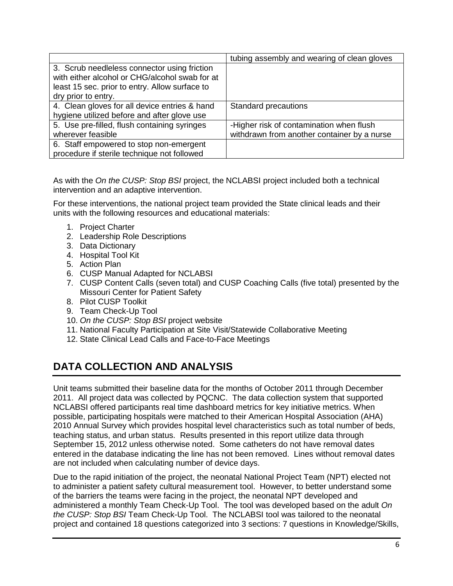|                                                                                                | tubing assembly and wearing of clean gloves |
|------------------------------------------------------------------------------------------------|---------------------------------------------|
| 3. Scrub needleless connector using friction<br>with either alcohol or CHG/alcohol swab for at |                                             |
| least 15 sec. prior to entry. Allow surface to                                                 |                                             |
| dry prior to entry.                                                                            |                                             |
| 4. Clean gloves for all device entries & hand                                                  | <b>Standard precautions</b>                 |
| hygiene utilized before and after glove use                                                    |                                             |
| 5. Use pre-filled, flush containing syringes                                                   | -Higher risk of contamination when flush    |
| wherever feasible                                                                              | withdrawn from another container by a nurse |
| 6. Staff empowered to stop non-emergent                                                        |                                             |
| procedure if sterile technique not followed                                                    |                                             |

As with the *On the CUSP: Stop BSI* project, the NCLABSI project included both a technical intervention and an adaptive intervention.

For these interventions, the national project team provided the State clinical leads and their units with the following resources and educational materials:

- 1. Project Charter
- 2. Leadership Role Descriptions
- 3. Data Dictionary
- 4. Hospital Tool Kit
- 5. Action Plan
- 6. CUSP Manual Adapted for NCLABSI
- 7. CUSP Content Calls (seven total) and CUSP Coaching Calls (five total) presented by the Missouri Center for Patient Safety
- 8. Pilot CUSP Toolkit
- 9. Team Check-Up Tool
- 10. *On the CUSP: Stop BSI* project website
- 11. National Faculty Participation at Site Visit/Statewide Collaborative Meeting
- 12. State Clinical Lead Calls and Face-to-Face Meetings

# <span id="page-5-0"></span>**DATA COLLECTION AND ANALYSIS**

Unit teams submitted their baseline data for the months of October 2011 through December 2011. All project data was collected by PQCNC. The data collection system that supported NCLABSI offered participants real time dashboard metrics for key initiative metrics. When possible, participating hospitals were matched to their American Hospital Association (AHA) 2010 Annual Survey which provides hospital level characteristics such as total number of beds, teaching status, and urban status. Results presented in this report utilize data through September 15, 2012 unless otherwise noted. Some catheters do not have removal dates entered in the database indicating the line has not been removed. Lines without removal dates are not included when calculating number of device days.

Due to the rapid initiation of the project, the neonatal National Project Team (NPT) elected not to administer a patient safety cultural measurement tool. However, to better understand some of the barriers the teams were facing in the project, the neonatal NPT developed and administered a monthly Team Check-Up Tool. The tool was developed based on the adult *On the CUSP: Stop BSI* Team Check-Up Tool. The NCLABSI tool was tailored to the neonatal project and contained 18 questions categorized into 3 sections: 7 questions in Knowledge/Skills,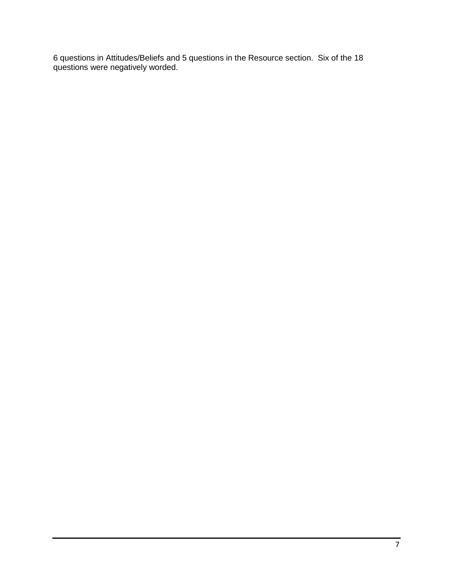6 questions in Attitudes/Beliefs and 5 questions in the Resource section. Six of the 18 questions were negatively worded.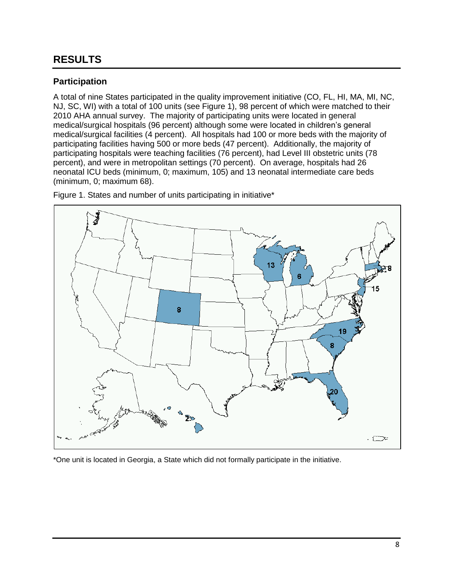# <span id="page-7-0"></span>**RESULTS**

#### <span id="page-7-1"></span>**Participation**

A total of nine States participated in the quality improvement initiative (CO, FL, HI, MA, MI, NC, NJ, SC, WI) with a total of 100 units (see [Figure 1\)](#page-7-2), 98 percent of which were matched to their 2010 AHA annual survey. The majority of participating units were located in general medical/surgical hospitals (96 percent) although some were located in children's general medical/surgical facilities (4 percent). All hospitals had 100 or more beds with the majority of participating facilities having 500 or more beds (47 percent). Additionally, the majority of participating hospitals were teaching facilities (76 percent), had Level III obstetric units (78 percent), and were in metropolitan settings (70 percent). On average, hospitals had 26 neonatal ICU beds (minimum, 0; maximum, 105) and 13 neonatal intermediate care beds (minimum, 0; maximum 68).



<span id="page-7-2"></span>Figure 1. States and number of units participating in initiative\*

\*One unit is located in Georgia, a State which did not formally participate in the initiative.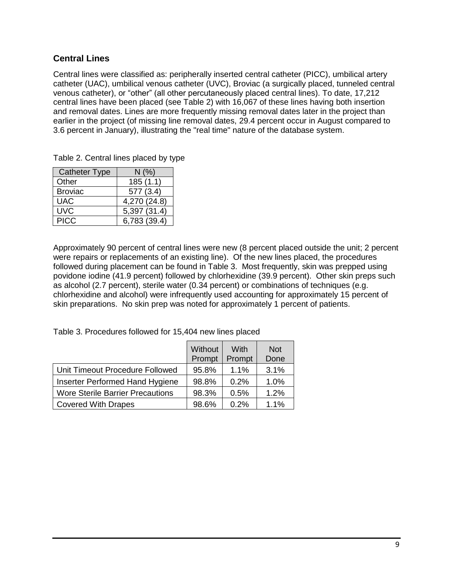## <span id="page-8-0"></span>**Central Lines**

Central lines were classified as: peripherally inserted central catheter (PICC), umbilical artery catheter (UAC), umbilical venous catheter (UVC), Broviac (a surgically placed, tunneled central venous catheter), or "other" (all other percutaneously placed central lines). To date, 17,212 central lines have been placed (see [Table](#page-8-1) 2) with 16,067 of these lines having both insertion and removal dates. Lines are more frequently missing removal dates later in the project than earlier in the project (of missing line removal dates, 29.4 percent occur in August compared to 3.6 percent in January), illustrating the "real time" nature of the database system.

<span id="page-8-1"></span>

| Table 2. Central lines placed by type |  |  |  |  |
|---------------------------------------|--|--|--|--|
|---------------------------------------|--|--|--|--|

| <b>Catheter Type</b> | N(%)         |
|----------------------|--------------|
| Other                | 185(1.1)     |
| <b>Broviac</b>       | 577 (3.4)    |
| <b>UAC</b>           | 4,270 (24.8) |
| <b>UVC</b>           | 5,397 (31.4) |
| <b>PICC</b>          | 6,783 (39.4) |

Approximately 90 percent of central lines were new (8 percent placed outside the unit; 2 percent were repairs or replacements of an existing line). Of the new lines placed, the procedures followed during placement can be found in [Table 3.](#page-8-2) Most frequently, skin was prepped using povidone iodine (41.9 percent) followed by chlorhexidine (39.9 percent). Other skin preps such as alcohol (2.7 percent), sterile water (0.34 percent) or combinations of techniques (e.g. chlorhexidine and alcohol) were infrequently used accounting for approximately 15 percent of skin preparations. No skin prep was noted for approximately 1 percent of patients.

<span id="page-8-2"></span>Table 3. Procedures followed for 15,404 new lines placed

|                                         | Without<br>Prompt | With<br>Prompt | <b>Not</b><br>Done |
|-----------------------------------------|-------------------|----------------|--------------------|
| Unit Timeout Procedure Followed         | 95.8%             | $1.1\%$        | 3.1%               |
| Inserter Performed Hand Hygiene         | 98.8%             | 0.2%           | 1.0%               |
| <b>Wore Sterile Barrier Precautions</b> | 98.3%             | 0.5%           | 1.2%               |
| <b>Covered With Drapes</b>              | 98.6%             | 0.2%           | 1.1%               |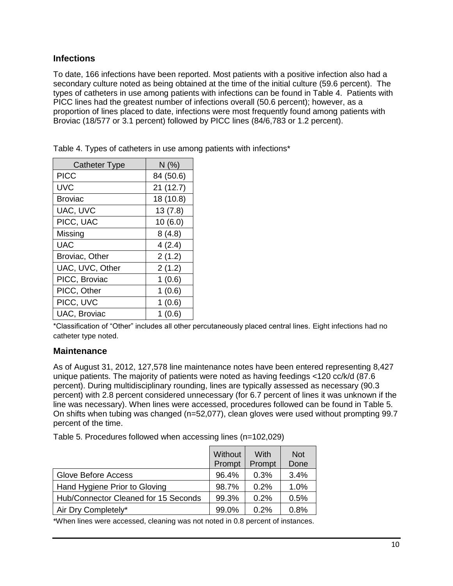#### <span id="page-9-0"></span>**Infections**

To date, 166 infections have been reported. Most patients with a positive infection also had a secondary culture noted as being obtained at the time of the initial culture (59.6 percent). The types of catheters in use among patients with infections can be found in [Table 4.](#page-9-2) Patients with PICC lines had the greatest number of infections overall (50.6 percent); however, as a proportion of lines placed to date, infections were most frequently found among patients with Broviac (18/577 or 3.1 percent) followed by PICC lines (84/6,783 or 1.2 percent).

<span id="page-9-2"></span>Table 4. Types of catheters in use among patients with infections\*

| Catheter Type   | N(% )     |
|-----------------|-----------|
| <b>PICC</b>     | 84 (50.6) |
| UVC             | 21(12.7)  |
| Broviac         | 18 (10.8) |
| UAC, UVC        | 13(7.8)   |
| PICC, UAC       | 10(6.0)   |
| Missing         | 8(4.8)    |
| <b>UAC</b>      | 4(2.4)    |
| Broviac, Other  | 2(1.2)    |
| UAC, UVC, Other | 2(1.2)    |
| PICC, Broviac   | 1(0.6)    |
| PICC, Other     | 1(0.6)    |
| PICC, UVC       | 1(0.6)    |
| UAC, Broviac    | 1 (0.6)   |

\*Classification of "Other" includes all other percutaneously placed central lines. Eight infections had no catheter type noted.

#### <span id="page-9-1"></span>**Maintenance**

As of August 31, 2012, 127,578 line maintenance notes have been entered representing 8,427 unique patients. The majority of patients were noted as having feedings <120 cc/k/d (87.6 percent). During multidisciplinary rounding, lines are typically assessed as necessary (90.3 percent) with 2.8 percent considered unnecessary (for 6.7 percent of lines it was unknown if the line was necessary). When lines were accessed, procedures followed can be found in [Table 5.](#page-9-3) On shifts when tubing was changed (n=52,077), clean gloves were used without prompting 99.7 percent of the time.

<span id="page-9-3"></span>Table 5. Procedures followed when accessing lines (n=102,029)

|                                      | Without<br>Prompt | With<br>Prompt | <b>Not</b><br>Done |
|--------------------------------------|-------------------|----------------|--------------------|
| Glove Before Access                  | 96.4%             | 0.3%           | 3.4%               |
| Hand Hygiene Prior to Gloving        | 98.7%             | $0.2\%$        | 1.0%               |
| Hub/Connector Cleaned for 15 Seconds | 99.3%             | 0.2%           | 0.5%               |
| Air Dry Completely*                  | 99.0%             | $0.2\%$        | 0.8%               |

\*When lines were accessed, cleaning was not noted in 0.8 percent of instances.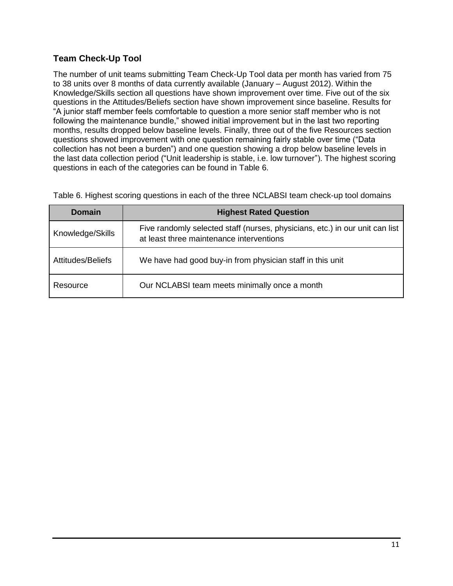## <span id="page-10-0"></span>**Team Check-Up Tool**

The number of unit teams submitting Team Check-Up Tool data per month has varied from 75 to 38 units over 8 months of data currently available (January – August 2012). Within the Knowledge/Skills section all questions have shown improvement over time. Five out of the six questions in the Attitudes/Beliefs section have shown improvement since baseline. Results for "A junior staff member feels comfortable to question a more senior staff member who is not following the maintenance bundle," showed initial improvement but in the last two reporting months, results dropped below baseline levels. Finally, three out of the five Resources section questions showed improvement with one question remaining fairly stable over time ("Data collection has not been a burden") and one question showing a drop below baseline levels in the last data collection period ("Unit leadership is stable, i.e. low turnover"). The highest scoring questions in each of the categories can be found in [Table 6.](#page-10-1)

<span id="page-10-1"></span>Table 6. Highest scoring questions in each of the three NCLABSI team check-up tool domains

| Domain            | <b>Highest Rated Question</b>                                                                                            |
|-------------------|--------------------------------------------------------------------------------------------------------------------------|
| Knowledge/Skills  | Five randomly selected staff (nurses, physicians, etc.) in our unit can list<br>at least three maintenance interventions |
| Attitudes/Beliefs | We have had good buy-in from physician staff in this unit                                                                |
| Resource          | Our NCLABSI team meets minimally once a month                                                                            |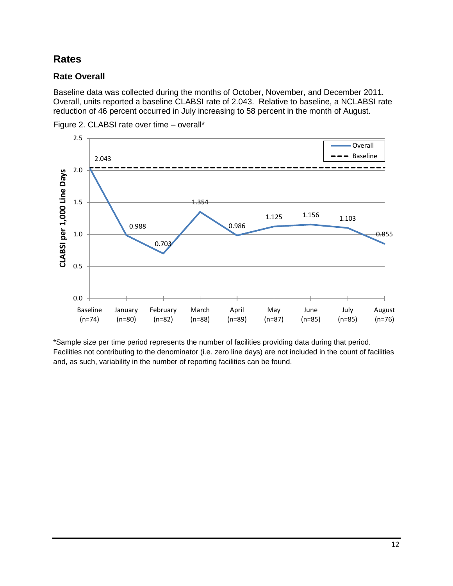## <span id="page-11-0"></span>**Rates**

## <span id="page-11-1"></span>**Rate Overall**

Baseline data was collected during the months of October, November, and December 2011. Overall, units reported a baseline CLABSI rate of 2.043. Relative to baseline, a NCLABSI rate reduction of 46 percent occurred in July increasing to 58 percent in the month of August.



Figure 2. CLABSI rate over time – overall\*

\*Sample size per time period represents the number of facilities providing data during that period. Facilities not contributing to the denominator (i.e. zero line days) are not included in the count of facilities and, as such, variability in the number of reporting facilities can be found.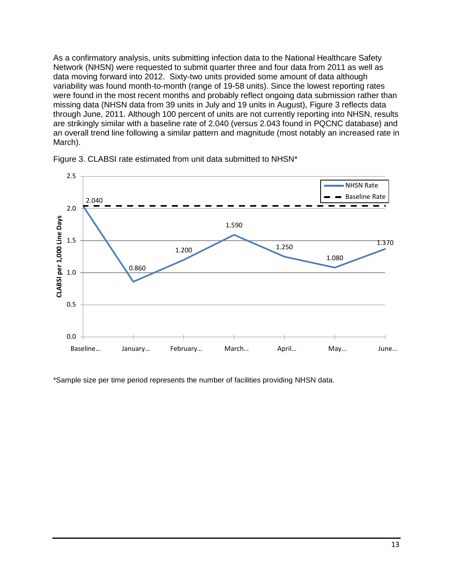As a confirmatory analysis, units submitting infection data to the National Healthcare Safety Network (NHSN) were requested to submit quarter three and four data from 2011 as well as data moving forward into 2012. Sixty-two units provided some amount of data although variability was found month-to-month (range of 19-58 units). Since the lowest reporting rates were found in the most recent months and probably reflect ongoing data submission rather than missing data (NHSN data from 39 units in July and 19 units in August), [Figure 3](#page-12-0) reflects data through June, 2011. Although 100 percent of units are not currently reporting into NHSN, results are strikingly similar with a baseline rate of 2.040 (versus 2.043 found in PQCNC database) and an overall trend line following a similar pattern and magnitude (most notably an increased rate in March).



<span id="page-12-0"></span>

\*Sample size per time period represents the number of facilities providing NHSN data.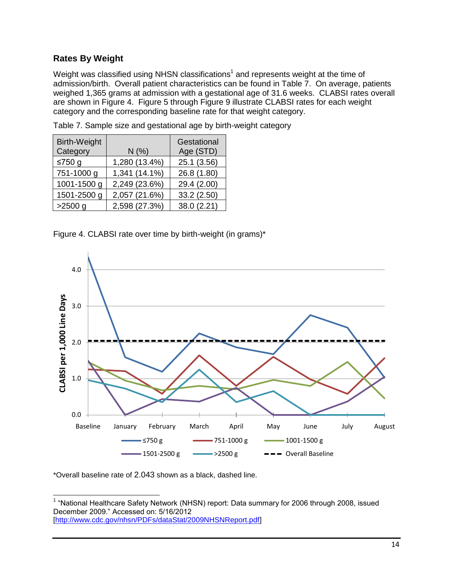### <span id="page-13-0"></span>**Rates By Weight**

Weight was classified using NHSN classifications<sup>1</sup> and represents weight at the time of admission/birth. Overall patient characteristics can be found in [Table 7.](#page-13-1) On average, patients weighed 1,365 grams at admission with a gestational age of 31.6 weeks. CLABSI rates overall are shown in [Figure 4.](#page-13-2) [Figure 5](#page-14-0) through [Figure 9](#page-15-0) illustrate CLABSI rates for each weight category and the corresponding baseline rate for that weight category.

| <b>Birth-Weight</b> |               | Gestational |
|---------------------|---------------|-------------|
| Category            | N(%           | Age (STD)   |
| ≤750 $g$            | 1,280 (13.4%) | 25.1 (3.56) |
| 751-1000 g          | 1,341 (14.1%) | 26.8 (1.80) |
| 1001-1500 g         | 2,249 (23.6%) | 29.4 (2.00) |
| 1501-2500 g         | 2,057 (21.6%) | 33.2 (2.50) |
| $>2500$ g           | 2,598 (27.3%) | 38.0 (2.21) |

<span id="page-13-1"></span>Table 7. Sample size and gestational age by birth-weight category

<span id="page-13-2"></span>Figure 4. CLABSI rate over time by birth-weight (in grams)\*



\*Overall baseline rate of 2.043 shown as a black, dashed line.

 1 "National Healthcare Safety Network (NHSN) report: Data summary for 2006 through 2008, issued December 2009." Accessed on: 5/16/2012 [\[http://www.cdc.gov/nhsn/PDFs/dataStat/2009NHSNReport.pdf\]](http://www.cdc.gov/nhsn/PDFs/dataStat/2009NHSNReport.pdf)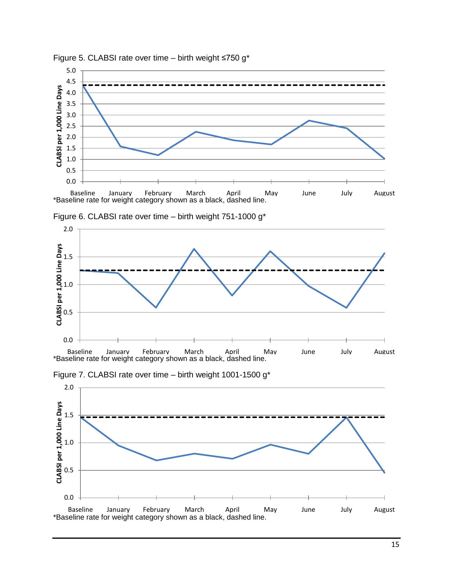

<span id="page-14-0"></span>



Figure 6. CLABSI rate over time – birth weight 751-1000 g\*



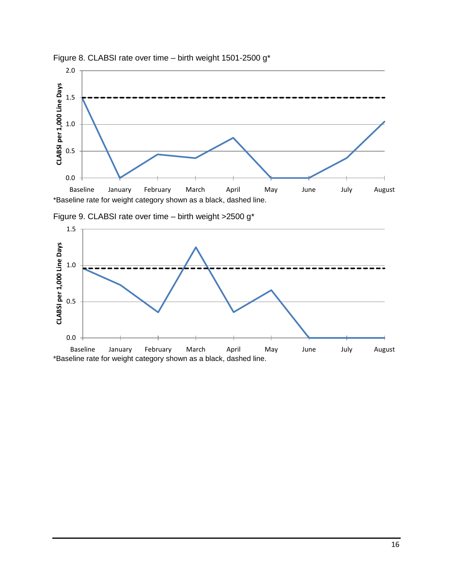



1.5 CLABSI per 1,000 Line Days **CLABSI per 1,000 Line Days**1.0 0.5 0.0 Baseline January February March April May June July August \*Baseline rate for weight category shown as a black, dashed line.

<span id="page-15-0"></span>Figure 9. CLABSI rate over time – birth weight >2500 g\*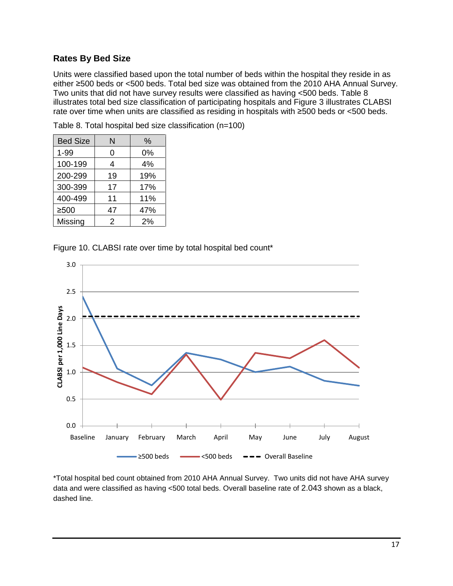#### <span id="page-16-0"></span>**Rates By Bed Size**

Units were classified based upon the total number of beds within the hospital they reside in as either ≥500 beds or <500 beds. Total bed size was obtained from the 2010 AHA Annual Survey. Two units that did not have survey results were classified as having <500 beds. [Table 8](#page-16-1) illustrates total bed size classification of participating hospitals and Figure 3 illustrates CLABSI rate over time when units are classified as residing in hospitals with ≥500 beds or <500 beds.

| <b>Bed Size</b> | N  | $\%$ |
|-----------------|----|------|
| $1 - 99$        | 0  | 0%   |
| 100-199         | 4  | 4%   |
| 200-299         | 19 | 19%  |
| 300-399         | 17 | 17%  |
| 400-499         | 11 | 11%  |
| $\geq 500$      | 47 | 47%  |
| Missing         | 2  | 2%   |

<span id="page-16-1"></span>Table 8. Total hospital bed size classification (n=100)

Figure 10. CLABSI rate over time by total hospital bed count\*



\*Total hospital bed count obtained from 2010 AHA Annual Survey. Two units did not have AHA survey data and were classified as having <500 total beds. Overall baseline rate of 2.043 shown as a black, dashed line.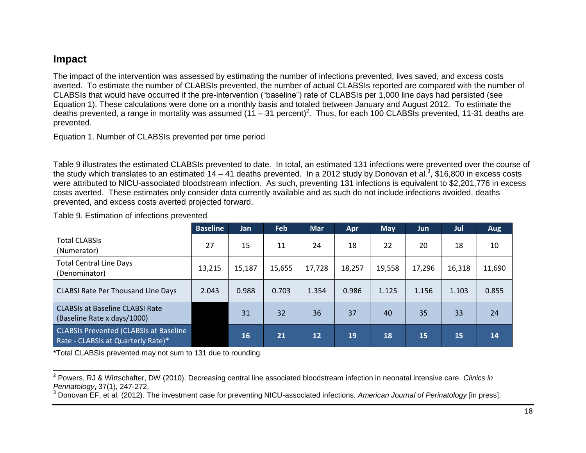## **Impact**

The impact of the intervention was assessed by estimating the number of infections prevented, lives saved, and excess costs averted. To estimate the number of CLABSIs prevented, the number of actual CLABSIs reported are compared with the number of CLABSIs that would have occurred if the pre-intervention ("baseline") rate of CLABSIs per 1,000 line days had persisted (see Equation 1). These calculations were done on a monthly basis and totaled between January and August 2012. To estimate the deaths prevented, a range in mortality was assumed (11 – 31 percent)<sup>2</sup>. Thus, for each 100 CLABSIs prevented, 11-31 deaths are prevented.

Equation 1. Number of CLABSIs prevented per time period

[Table 9](#page-17-1) illustrates the estimated CLABSIs prevented to date. In total, an estimated 131 infections were prevented over the course of the study which translates to an estimated 14 – 41 deaths prevented. In a 2012 study by Donovan et al.<sup>3</sup>, \$16,800 in excess costs were attributed to NICU-associated bloodstream infection. As such, preventing 131 infections is equivalent to \$2,201,776 in excess costs averted. These estimates only consider data currently available and as such do not include infections avoided, deaths prevented, and excess costs averted projected forward.

|                                                                                     | <b>Baseline</b> | <b>Jan</b> | Feb    | <b>Mar</b> | Apr    | <b>May</b> | <b>Jun</b> | Jul    | <b>Aug</b> |
|-------------------------------------------------------------------------------------|-----------------|------------|--------|------------|--------|------------|------------|--------|------------|
| <b>Total CLABSIS</b><br>(Numerator)                                                 | 27              | 15         | 11     | 24         | 18     | 22         | 20         | 18     | 10         |
| <b>Total Central Line Days</b><br>(Denominator)                                     | 13,215          | 15,187     | 15,655 | 17,728     | 18,257 | 19,558     | 17,296     | 16,318 | 11,690     |
| <b>CLABSI Rate Per Thousand Line Days</b>                                           | 2.043           | 0.988      | 0.703  | 1.354      | 0.986  | 1.125      | 1.156      | 1.103  | 0.855      |
| <b>CLABSIs at Baseline CLABSI Rate</b><br>(Baseline Rate x days/1000)               |                 | 31         | 32     | 36         | 37     | 40         | 35         | 33     | 24         |
| <b>CLABSIs Prevented (CLABSIs at Baseline</b><br>Rate - CLABSIs at Quarterly Rate)* |                 | 16         | 21     | 12         | 19     | 18         | 15         | 15     | 14         |

<span id="page-17-1"></span><span id="page-17-0"></span>Table 9. Estimation of infections prevented

\*Total CLABSIs prevented may not sum to 131 due to rounding.

 2 Powers, RJ & Wirtschafter, DW (2010). Decreasing central line associated bloodstream infection in neonatal intensive care. *Clinics in Perinatology*, 37(1), 247-272.

<sup>3</sup> Donovan EF, et al. (2012). The investment case for preventing NICU-associated infections. *American Journal of Perinatology* [in press].